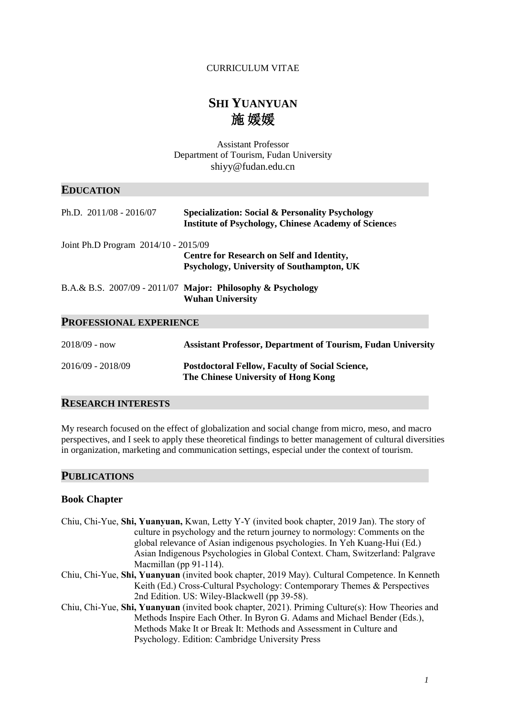# CURRICULUM VITAE

# **SHI YUANYUAN**  施 媛媛

Assistant Professor Department of Tourism, Fudan University [shiyy@fudan.edu.cn](mailto:shiyy@fudan.edu.cn)

# **EDUCATION**

| Ph.D. $2011/08 - 2016/07$            | <b>Specialization: Social &amp; Personality Psychology</b><br><b>Institute of Psychology, Chinese Academy of Sciences</b> |
|--------------------------------------|---------------------------------------------------------------------------------------------------------------------------|
| Joint Ph.D Program 2014/10 - 2015/09 |                                                                                                                           |
|                                      | <b>Centre for Research on Self and Identity,</b><br>Psychology, University of Southampton, UK                             |
|                                      | B.A.& B.S. $2007/09 - 2011/07$ Major: Philosophy & Psychology<br><b>Wuhan University</b>                                  |
| <b>PROFESSIONAL EXPERIENCE</b>       |                                                                                                                           |
| $2018/09 - now$                      | <b>Assistant Professor, Department of Tourism, Fudan University</b>                                                       |
| 2016/09 - 2018/09                    | <b>Postdoctoral Fellow, Faculty of Social Science,</b><br>The Chinese University of Hong Kong                             |

# **RESEARCH INTERESTS**

My research focused on the effect of globalization and social change from micro, meso, and macro perspectives, and I seek to apply these theoretical findings to better management of cultural diversities in organization, marketing and communication settings, especial under the context of tourism.

### **PUBLICATIONS**

### **Book Chapter**

| Chiu, Chi-Yue, Shi, Yuanyuan, Kwan, Letty Y-Y (invited book chapter, 2019 Jan). The story of |
|----------------------------------------------------------------------------------------------|
| culture in psychology and the return journey to normology: Comments on the                   |
| global relevance of Asian indigenous psychologies. In Yeh Kuang-Hui (Ed.)                    |
| Asian Indigenous Psychologies in Global Context. Cham, Switzerland: Palgrave                 |
| Macmillan (pp $91-114$ ).                                                                    |

- Chiu, Chi-Yue, **Shi, Yuanyuan** (invited book chapter, 2019 May). Cultural Competence. In Kenneth Keith (Ed.) Cross-Cultural Psychology: Contemporary Themes & Perspectives 2nd Edition. US: Wiley-Blackwell (pp 39-58).
- Chiu, Chi-Yue, **Shi, Yuanyuan** (invited book chapter, 2021). Priming Culture(s): How Theories and Methods Inspire Each Other. In Byron G. Adams and Michael Bender (Eds.), Methods Make It or Break It: Methods and Assessment in Culture and Psychology. Edition: Cambridge University Press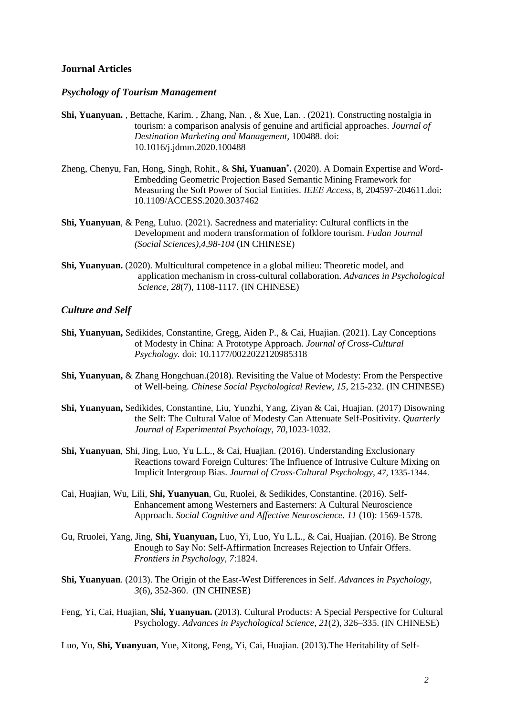#### **Journal Articles**

### *Psychology of Tourism Management*

- **Shi, Yuanyuan.** , Bettache, Karim. , Zhang, Nan. , & Xue, Lan. . (2021). Constructing nostalgia in tourism: a comparison analysis of genuine and artificial approaches. *Journal of Destination Marketing and Management,* 100488. doi: 10.1016/j.jdmm.2020.100488
- Zheng, Chenyu, Fan, Hong, Singh, Rohit., & **Shi, Yuanuan\* .** (2020). A Domain Expertise and Word-Embedding Geometric Projection Based Semantic Mining Framework for Measuring the Soft Power of Social Entities. *IEEE Access,* 8, 204597-204611.doi: 10.1109/ACCESS.2020.3037462
- **Shi, Yuanyuan**, & Peng, Luluo. (2021). Sacredness and materiality: Cultural conflicts in the Development and modern transformation of folklore tourism. *Fudan Journal (Social Sciences),4,98-104* (IN CHINESE)
- **Shi, Yuanyuan.** (2020). Multicultural competence in a global milieu: Theoretic model, and application mechanism in cross-cultural collaboration. *Advances in Psychological Science, 28*(7), 1108-1117. (IN CHINESE)

#### *Culture and Self*

- **Shi, Yuanyuan,** Sedikides, Constantine, Gregg, Aiden P., & Cai, Huajian. (2021). Lay Conceptions of Modesty in China: A Prototype Approach. *Journal of Cross-Cultural Psychology.* doi: 10.1177/0022022120985318
- **Shi, Yuanyuan,** & Zhang Hongchuan.(2018). Revisiting the Value of Modesty: From the Perspective of Well-being. *Chinese Social Psychological Review, 15*, 215-232. (IN CHINESE)
- **Shi, Yuanyuan,** Sedikides, Constantine, Liu, Yunzhi, Yang, Ziyan & Cai, Huajian. (2017) Disowning the Self: The Cultural Value of Modesty Can Attenuate Self-Positivity. *Quarterly Journal of Experimental Psychology, 70,*1023-1032.
- **Shi, Yuanyuan**, Shi, Jing, Luo, Yu L.L., & Cai, Huajian. (2016). Understanding Exclusionary Reactions toward Foreign Cultures: The Influence of Intrusive Culture Mixing on Implicit Intergroup Bias. *Journal of Cross-Cultural Psychology, 47,* 1335-1344.
- Cai, Huajian, Wu, Lili, **Shi, Yuanyuan**, Gu, Ruolei, & Sedikides, Constantine. (2016). Self-Enhancement among Westerners and Easterners: A Cultural Neuroscience Approach. *Social Cognitive and Affective Neuroscience. 11* (10): 1569-1578.
- Gu, Rruolei, Yang, Jing, **Shi, Yuanyuan,** Luo, Yi, Luo, Yu L.L., & Cai, Huajian. (2016). Be Strong Enough to Say No: Self-Affirmation Increases Rejection to Unfair Offers. *Frontiers in Psychology, 7*:1824.
- **Shi, Yuanyuan**. (2013). The Origin of the East-West Differences in Self. *Advances in Psychology, 3*(6), 352-360. (IN CHINESE)
- Feng, Yi, Cai, Huajian, **Shi, Yuanyuan.** (2013). Cultural Products: A Special Perspective for Cultural Psychology. *Advances in Psychological Science, 21*(2), 326–335. (IN CHINESE)

Luo, Yu, **Shi, Yuanyuan**, Yue, Xitong, Feng, Yi, Cai, Huajian. (2013).The Heritability of Self-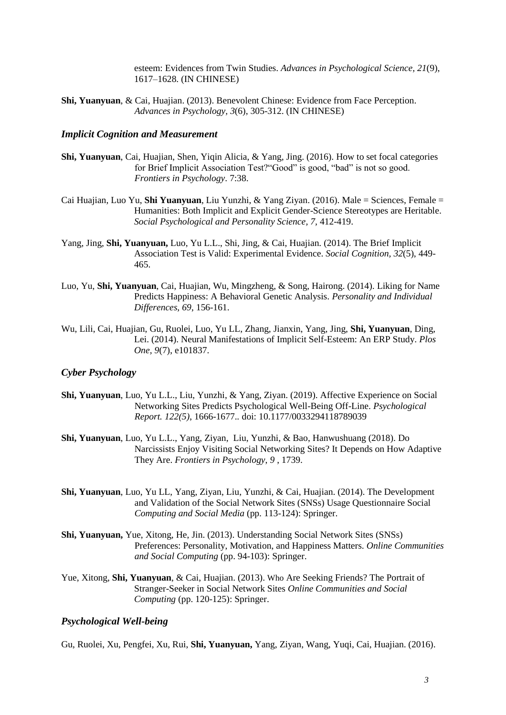esteem: Evidences from Twin Studies. *Advances in Psychological Science, 21*(9), 1617–1628. (IN CHINESE)

**Shi, Yuanyuan**, & Cai, Huajian. (2013). Benevolent Chinese: Evidence from Face Perception. *Advances in Psychology, 3*(6), 305-312. (IN CHINESE)

### *Implicit Cognition and Measurement*

- **Shi, Yuanyuan**, Cai, Huajian, Shen, Yiqin Alicia, & Yang, Jing. (2016). How to set focal categories for Brief Implicit Association Test?"Good" is good, "bad" is not so good. *Frontiers in Psychology*. 7:38.
- Cai Huajian, Luo Yu, **Shi Yuanyuan**, Liu Yunzhi, & Yang Ziyan. (2016). Male = Sciences, Female = Humanities: Both Implicit and Explicit Gender-Science Stereotypes are Heritable. *Social Psychological and Personality Science, 7,* 412-419.
- Yang, Jing, **Shi, Yuanyuan,** Luo, Yu L.L., Shi, Jing, & Cai, Huajian. (2014). The Brief Implicit Association Test is Valid: Experimental Evidence. *Social Cognition, 32*(5), 449- 465.
- Luo, Yu, **Shi, Yuanyuan**, Cai, Huajian, Wu, Mingzheng, & Song, Hairong. (2014). Liking for Name Predicts Happiness: A Behavioral Genetic Analysis. *Personality and Individual Differences, 69*, 156-161.
- Wu, Lili, Cai, Huajian, Gu, Ruolei, Luo, Yu LL, Zhang, Jianxin, Yang, Jing, **Shi, Yuanyuan**, Ding, Lei. (2014). Neural Manifestations of Implicit Self-Esteem: An ERP Study. *Plos One, 9*(7), e101837.

#### *Cyber Psychology*

- **Shi, Yuanyuan**, Luo, Yu L.L., Liu, Yunzhi, & Yang, Ziyan. (2019). Affective Experience on Social Networking Sites Predicts Psychological Well-Being Off-Line. *Psychological Report. 122(5)*, 1666-1677.*.* doi: 10.1177/0033294118789039
- **Shi, Yuanyuan**, Luo, Yu L.L., Yang, Ziyan, Liu, Yunzhi, & Bao, Hanwushuang (2018). Do Narcissists Enjoy Visiting Social Networking Sites? It Depends on How Adaptive They Are. *Frontiers in Psychology*, *9* , 1739.
- **Shi, Yuanyuan**, Luo, Yu LL, Yang, Ziyan, Liu, Yunzhi, & Cai, Huajian. (2014). The Development and Validation of the Social Network Sites (SNSs) Usage Questionnaire Social *Computing and Social Media* (pp. 113-124): Springer.
- **Shi, Yuanyuan,** Yue, Xitong, He, Jin. (2013). Understanding Social Network Sites (SNSs) Preferences: Personality, Motivation, and Happiness Matters. *Online Communities and Social Computing* (pp. 94-103): Springer.
- Yue, Xitong, **Shi, Yuanyuan**, & Cai, Huajian. (2013). Who Are Seeking Friends? The Portrait of Stranger-Seeker in Social Network Sites *Online Communities and Social Computing* (pp. 120-125): Springer.

## *Psychological Well-being*

Gu, Ruolei, Xu, Pengfei, Xu, Rui, **Shi, Yuanyuan,** Yang, Ziyan, Wang, Yuqi, Cai, Huajian. (2016).